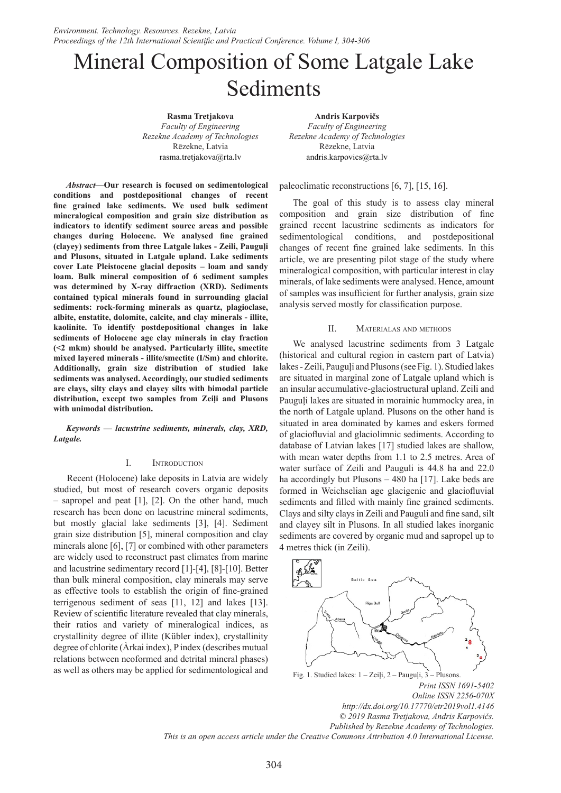# Mineral Composition of Some Latgale Lake Sediments

**Rasma Tretjakova** *Faculty of Engineering Rezekne Academy of Technologies* Rēzekne, Latvia rasma.tretjakova@rta.lv

*Abstract***—Our research is focused on sedimentological conditions and postdepositional changes of recent fine grained lake sediments. We used bulk sediment mineralogical composition and grain size distribution as indicators to identify sediment source areas and possible changes during Holocene. We analysed fine grained (clayey) sediments from three Latgale lakes - Zeili, Pauguļi and Plusons, situated in Latgale upland. Lake sediments cover Late Pleistocene glacial deposits – loam and sandy loam. Bulk mineral composition of 6 sediment samples was determined by X-ray diffraction (XRD). Sediments contained typical minerals found in surrounding glacial sediments: rock-forming minerals as quartz, plagioclase, albite, enstatite, dolomite, calcite, and clay minerals - illite, kaolinite. To identify postdepositional changes in lake sediments of Holocene age clay minerals in clay fraction (<2 mkm) should be analysed. Particularly illite, smectite mixed layered minerals - illite/smectite (I/Sm) and chlorite. Additionally, grain size distribution of studied lake sediments was analysed. Accordingly, our studied sediments are clays, silty clays and clayey silts with bimodal particle distribution, except two samples from Zeiļi and Plusons with unimodal distribution.**

*Keywords — lacustrine sediments, minerals, clay, XRD, Latgale.*

# I. Introduction

Recent (Holocene) lake deposits in Latvia are widely studied, but most of research covers organic deposits – sapropel and peat [1], [2]. On the other hand, much research has been done on lacustrine mineral sediments, but mostly glacial lake sediments [3], [4]. Sediment grain size distribution [5], mineral composition and clay minerals alone [6], [7] or combined with other parameters are widely used to reconstruct past climates from marine and lacustrine sedimentary record [1]-[4], [8]-[10]. Better than bulk mineral composition, clay minerals may serve as effective tools to establish the origin of fine-grained terrigenous sediment of seas [11, 12] and lakes [13]. Review of scientific literature revealed that clay minerals, their ratios and variety of mineralogical indices, as crystallinity degree of illite (Kübler index), crystallinity degree of chlorite (Àrkai index), P index (describes mutual relations between neoformed and detrital mineral phases) as well as others may be applied for sedimentological and

**Andris Karpovičs** *Faculty of Engineering Rezekne Academy of Technologies* Rēzekne, Latvia andris.karpovics@rta.lv

# paleoclimatic reconstructions [6, 7], [15, 16].

The goal of this study is to assess clay mineral composition and grain size distribution of fine grained recent lacustrine sediments as indicators for sedimentological conditions, and postdepositional changes of recent fine grained lake sediments. In this article, we are presenting pilot stage of the study where mineralogical composition, with particular interest in clay minerals, of lake sediments were analysed. Hence, amount of samples was insufficient for further analysis, grain size analysis served mostly for classification purpose.

# II. Materialas and methods

We analysed lacustrine sediments from 3 Latgale (historical and cultural region in eastern part of Latvia) lakes - Zeili, Pauguļi and Plusons (see Fig. 1). Studied lakes are situated in marginal zone of Latgale upland which is an insular accumulative-glaciostructural upland. Zeili and Pauguļi lakes are situated in morainic hummocky area, in the north of Latgale upland. Plusons on the other hand is situated in area dominated by kames and eskers formed of glaciofluvial and glaciolimnic sediments. According to database of Latvian lakes [17] studied lakes are shallow, with mean water depths from 1.1 to 2.5 metres. Area of water surface of Zeili and Pauguli is 44.8 ha and 22.0 ha accordingly but Plusons – 480 ha [17]. Lake beds are formed in Weichselian age glacigenic and glaciofluvial sediments and filled with mainly fine grained sediments. Clays and silty clays in Zeili and Pauguli and fine sand, silt and clayey silt in Plusons. In all studied lakes inorganic sediments are covered by organic mud and sapropel up to 4 metres thick (in Zeili).



Fig. 1. Studied lakes: 1 – Zeiļi, 2 – Pauguļi, 3 – Plusons.

*Print ISSN 1691-5402 Online ISSN 2256-070X http://dx.doi.org/10.17770/etr2019vol1.4146 © 2019 Rasma Tretjakova, Andris Karpovičs. Published by Rezekne Academy of Technologies. This is an open access article under the Creative Commons Attribution 4.0 International License.*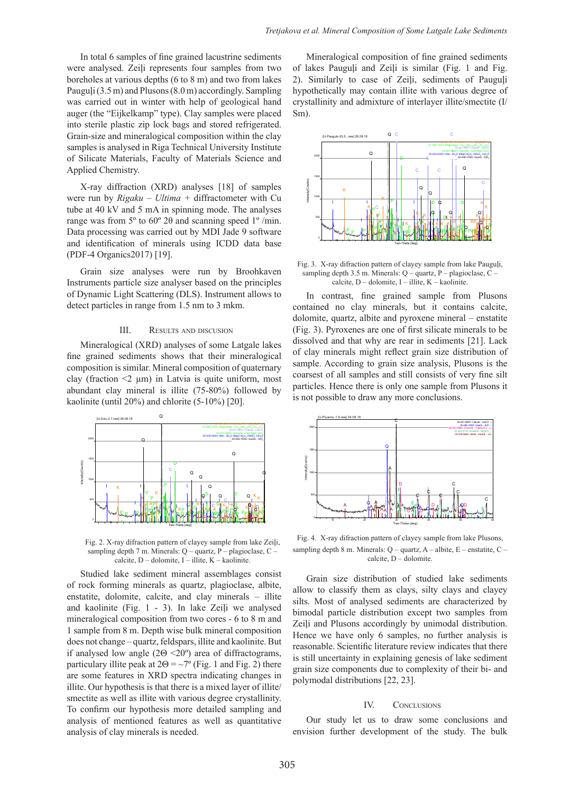In total 6 samples of fine grained lacustrine sediments were analysed. Zeili represents four samples from two boreholes at various depths (6 to 8 m) and two from lakes Pauguļi (3.5 m) and Plusons (8.0m) accordingly. Sampling was carried out in winter with help of geological hand auger (the "Eijkelkamp" type). Clay samples were placed into sterile plastic zip lock bags and stored refrigerated. Grain-size and mineralogical composition within the clay samples is analysed in Riga Technical University Institute of Silicate Materials, Faculty of Materials Science and Applied Chemistry.

X-ray diffraction (XRD) analyses [18] of samples were run by *Rigaku – Ultima +* diffractometer with Cu tube at 40 kV and 5 mA in spinning mode. The analyses range was from 5º to 60º 2θ and scanning speed 1º /min. Data processing was carried out by MDI Jade 9 software and identification of minerals using ICDD data base (PDF-4 Organics2017) [19].

Grain size analyses were run by Broohkaven Instruments particle size analyser based on the principles of Dynamic Light Scattering (DLS). Instrument allows to detect particles in range from 1.5 nm to 3 mkm.

#### III. Results and discusion

Mineralogical (XRD) analyses of some Latgale lakes fine grained sediments shows that their mineralogical composition is similar. Mineral composition of quaternary clay (fraction  $\leq$   $\mu$ m) in Latvia is quite uniform, most abundant clay mineral is illite (75-80%) followed by kaolinite (until 20%) and chlorite (5-10%) [20].



Fig. 2. X-ray difraction pattern of clayey sample from lake Zeiļi, sampling depth 7 m. Minerals: Q – quartz, P – plagioclase, C – calcite,  $D -$ dolomite,  $I -$ illite,  $K -$ kaolinite.

Studied lake sediment mineral assemblages consist of rock forming minerals as quartz, plagioclase, albite, enstatite, dolomite, calcite, and clay minerals – illite and kaolinite (Fig. 1 - 3). In lake Zeiļi we analysed mineralogical composition from two cores - 6 to 8 m and 1 sample from 8 m. Depth wise bulk mineral composition does not change – quartz, feldspars, illite and kaolinite. But if analysed low angle (2Θ <20º) area of diffractograms, particulary illite peak at  $2\Theta = \sim 7^{\circ}$  (Fig. 1 and Fig. 2) there are some features in XRD spectra indicating changes in illite. Our hypothesis is that there is a mixed layer of illite/ smectite as well as illite with various degree crystallinity. To confirm our hypothesis more detailed sampling and analysis of mentioned features as well as quantitative analysis of clay minerals is needed.

Mineralogical composition of fine grained sediments of lakes Pauguli and Zeili is similar (Fig. 1 and Fig. 2). Similarly to case of Zeiļi, sediments of Pauguļi hypothetically may contain illite with various degree of crystallinity and admixture of interlayer illite/smectite (I/ Sm).



Fig. 3. X-ray difraction pattern of clayey sample from lake Pauguļi, sampling depth 3.5 m. Minerals:  $Q$  – quartz, P – plagioclase,  $C$  – calcite,  $D -$  dolomite,  $I -$  illite,  $K -$  kaolinite.

In contrast, fine grained sample from Plusons contained no clay minerals, but it contains calcite, dolomite, quartz, albite and pyroxene mineral – enstatite (Fig. 3). Pyroxenes are one of first silicate minerals to be dissolved and that why are rear in sediments [21]. Lack of clay minerals might reflect grain size distribution of sample. According to grain size analysis, Plusons is the coarsest of all samples and still consists of very fine silt particles. Hence there is only one sample from Plusons it is not possible to draw any more conclusions.



Fig. 4. X-ray difraction pattern of clayey sample from lake Plusons, sampling depth 8 m. Minerals: Q – quartz, A – albite, E – enstatite, C – calcite, D – dolomite.

Grain size distribution of studied lake sediments allow to classify them as clays, silty clays and clayey silts. Most of analysed sediments are characterized by bimodal particle distribution except two samples from Zeiļi and Plusons accordingly by unimodal distribution. Hence we have only 6 samples, no further analysis is reasonable. Scientific literature review indicates that there is still uncertainty in explaining genesis of lake sediment grain size components due to complexity of their bi- and polymodal distributions [22, 23].

# IV. CONCLUSIONS

Our study let us to draw some conclusions and envision further development of the study. The bulk